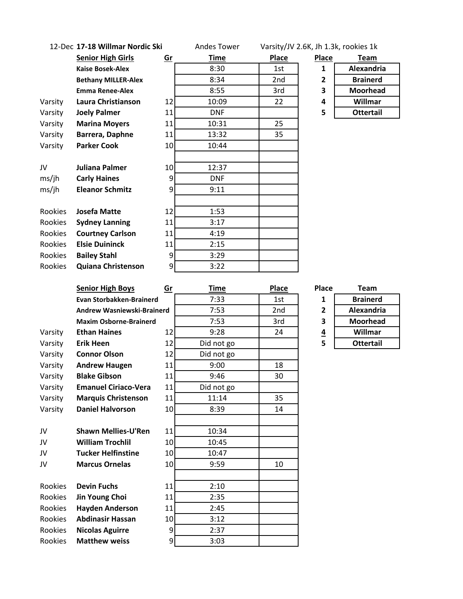| 12-Dec 17-18 Willmar Nordic Ski |                                                |                 | <b>Andes Tower</b> | Varsity/JV 2.6K, Jh 1.3k, rookies 1k |                         |                  |
|---------------------------------|------------------------------------------------|-----------------|--------------------|--------------------------------------|-------------------------|------------------|
|                                 | <b>Senior High Girls</b>                       | Gr              | <b>Time</b>        | <b>Place</b>                         | <b>Place</b>            | <b>Team</b>      |
|                                 | <b>Kaise Bosek-Alex</b>                        |                 | 8:30               | 1st                                  | 1                       | Alexandria       |
|                                 | <b>Bethany MILLER-Alex</b>                     |                 | 8:34               | 2nd                                  | 2                       | <b>Brainerd</b>  |
|                                 | <b>Emma Renee-Alex</b>                         |                 | 8:55               | 3rd                                  | 3                       | <b>Moorhead</b>  |
| Varsity                         | Laura Christianson                             | 12              | 10:09              | 22                                   | 4                       | Willmar          |
| Varsity                         | <b>Joely Palmer</b>                            | 11              | <b>DNF</b>         |                                      | 5                       | <b>Ottertail</b> |
| Varsity                         | <b>Marina Moyers</b>                           | 11              | 10:31              | 25                                   |                         |                  |
| Varsity                         | Barrera, Daphne                                | 11              | 13:32              | 35                                   |                         |                  |
| Varsity                         | <b>Parker Cook</b>                             | 10              | 10:44              |                                      |                         |                  |
|                                 |                                                |                 |                    |                                      |                         |                  |
| JV                              | Juliana Palmer                                 | 10 <sup>1</sup> | 12:37              |                                      |                         |                  |
| ms/ih                           | <b>Carly Haines</b>                            | 9               | <b>DNF</b>         |                                      |                         |                  |
| ms/ih                           | <b>Eleanor Schmitz</b>                         | 9               | 9:11               |                                      |                         |                  |
|                                 |                                                |                 |                    |                                      |                         |                  |
| Rookies                         | <b>Josefa Matte</b>                            | 12              | 1:53               |                                      |                         |                  |
| Rookies                         | <b>Sydney Lanning</b>                          | 11              | 3:17               |                                      |                         |                  |
| Rookies                         | <b>Courtney Carlson</b>                        | 11              | 4:19               |                                      |                         |                  |
| Rookies                         | <b>Elsie Duininck</b>                          | 11              | 2:15               |                                      |                         |                  |
| Rookies                         | <b>Bailey Stahl</b>                            | 9               | 3:29               |                                      |                         |                  |
| Rookies                         | <b>Quiana Christenson</b>                      | 9               | 3:22               |                                      |                         |                  |
|                                 |                                                |                 |                    |                                      |                         |                  |
|                                 | <b>Senior High Boys</b>                        | Gr              | <b>Time</b>        | <b>Place</b>                         | <b>Place</b>            | <b>Team</b>      |
|                                 | <b>Evan Storbakken-Brainerd</b>                |                 | 7:33               | 1st                                  | 1                       | <b>Brainerd</b>  |
|                                 | <b>Andrew Wasniewski-Brainerd</b>              |                 | 7:53               | 2nd                                  | $\overline{\mathbf{c}}$ | Alexandria       |
|                                 | <b>Maxim Osborne-Brainerd</b>                  |                 | 7:53               | 3rd                                  | 3                       | <b>Moorhead</b>  |
| Varsity                         | <b>Ethan Haines</b>                            | 12              | 9:28               | 24                                   | $\overline{4}$          | <b>Willmar</b>   |
| Varsity                         | <b>Erik Heen</b>                               | 12              | Did not go         |                                      | 5                       | <b>Ottertail</b> |
| Varsity                         | <b>Connor Olson</b>                            | 12              | Did not go         |                                      |                         |                  |
| Varsity                         | <b>Andrew Haugen</b>                           | 11              | 9:00               | 18                                   |                         |                  |
| Varsity                         | <b>Blake Gibson</b>                            | 11              | 9:46               | 30                                   |                         |                  |
| Varsity                         | <b>Emanuel Ciriaco-Vera</b>                    | 11              | Did not go         |                                      |                         |                  |
| Varsity                         |                                                |                 |                    |                                      |                         |                  |
| Varsity                         | <b>Marquis Christenson</b>                     | 11              | 11:14              | 35                                   |                         |                  |
|                                 | <b>Daniel Halvorson</b>                        | 10              | 8:39               | 14                                   |                         |                  |
|                                 |                                                |                 |                    |                                      |                         |                  |
| JV                              | <b>Shawn Mellies-U'Ren</b>                     | 11              | 10:34              |                                      |                         |                  |
| JV                              | <b>William Trochlil</b>                        | 10              |                    |                                      |                         |                  |
| JV                              | <b>Tucker Helfinstine</b>                      | 10              | 10:45              |                                      |                         |                  |
| JV                              | <b>Marcus Ornelas</b>                          |                 | 10:47<br>9:59      | 10                                   |                         |                  |
|                                 |                                                | 10              |                    |                                      |                         |                  |
|                                 |                                                |                 |                    |                                      |                         |                  |
| Rookies                         | <b>Devin Fuchs</b>                             | 11              | 2:10               |                                      |                         |                  |
| Rookies                         | Jin Young Choi                                 | 11              | 2:35               |                                      |                         |                  |
| Rookies                         | <b>Hayden Anderson</b>                         | 11              | 2:45               |                                      |                         |                  |
| Rookies                         | <b>Abdinasir Hassan</b>                        | 10              | 3:12               |                                      |                         |                  |
| Rookies<br>Rookies              | <b>Nicolas Aguirre</b><br><b>Matthew weiss</b> | 9<br>9          | 2:37<br>3:03       |                                      |                         |                  |